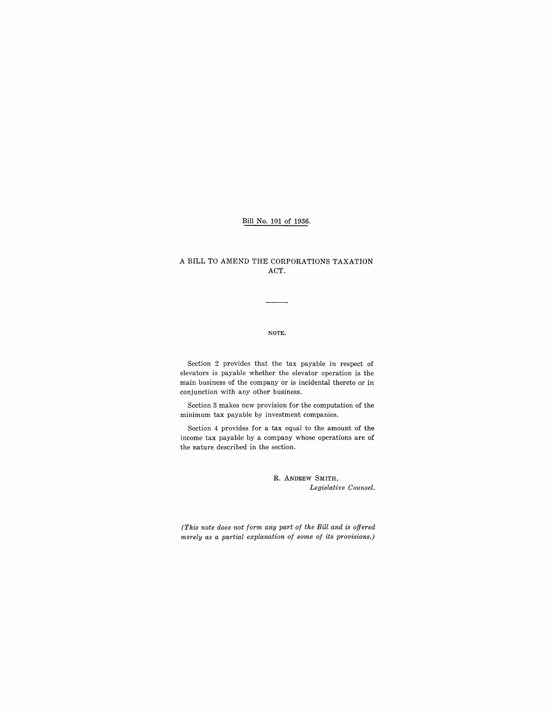## Bill No. 101 of 1936.

### A BILL TO AMEND THE CORPORATIONS TAXATION ACT.

#### NOTE.

Section 2 provides that the tax payable in respect of elevators is payable whether the elevator operation is the main business of the company or is incidental thereto or in conjunction with any other business.

Section 3 makes new provision for the computation of the minimum tax payable by investment companies.

Section 4 provides for a tax equal to the amount of the income tax payable by a company whose operations are of the nature described in the section.

> R. ANDREW SMITH, *Legislative Counsel.*

*(This note does not form any part of the Bill and is offered merely as a partial explanation of some of its provisions.)*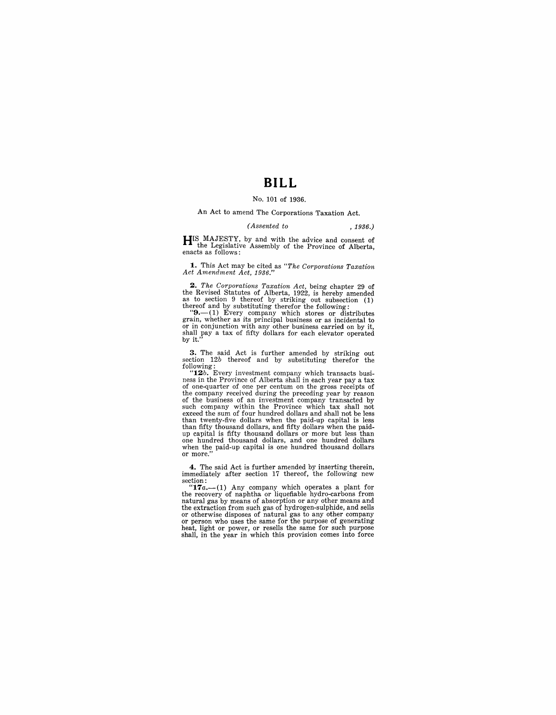# **BILL**

#### No. 101 of 1936.

An Act to amend The Corporations Taxation Act.

#### *(Assented to* , 1936.)

 $H<sup>IS</sup>$  MAJESTY, by and with the advice and consent of the Legislative Assembly of the Province of Alberta, enacts as follows:

**1.** This Act may be cited as *"The Corporations Taxation Act Amendment Act, 1936."* 

*2. The Corporations Taxation Act,* being chapter 29 of the Revised Statutes of Alberta, 1922, is hereby amended as to section 9 thereof and by substituting therefor the following: (1) thereof and by substituting therefor the following:  $\mathbf{9}$ . (1) Every company which stores

grain, whether as its principal business or as incidental to or in conjunction with any other business carried on by it, or in conjunction with any other business carried on by it, shall pay a tax of fifty dollars for each elevator operated by it.

**3.** The said Act is further amended by striking out section *12b* thereof and by substituting therefor the

following:<br>
"**12**b. Every investment company which transacts busi-<br>
ness in the Province of Alberta shall in each year pay a tax<br>
of one-quarter of one per centum on the gross receipts of the company received during the preceding year by reason<br>of the business of an investment company transacted by<br>such company within the Province which tax shall not<br>exceed the sum of four hundred dollars and shall not be l up capital is fifty thousand dollars or more but less than one hundred thousand dollars, and one hundred dollars when the paid-up capital is one hundred thousand dollars or more."

**4.** The said Act is further amended by inserting therein, immediately after section 17 thereof, the following new section:

" $17a$ .-(1) Any company which operates a plant for the recovery of naphtha or liquefiable hydro-carbons from natural gas by means of absorption or any other means and the extraction from such gas of hydrogen-sulphide, and sells or otherwise disposes of natural gas to any other company or person who uses the same for the purpose of generating heat, light or power, or resells the same for such purpose shall, in the year in which this provision comes into force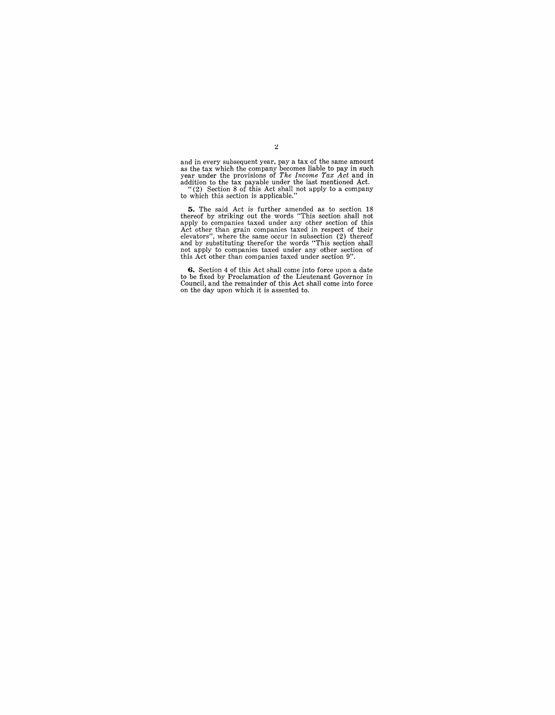and in every subsequent year, pay a tax of the same amount<br>as the tax which the company becomes liable to pay in such<br>year under the provisions of *The Income Tax Act* and in<br>addition to the tax payable under the last men

5. The said Act is further amended as to section 18 thereof by striking out the words "This section shall not apply to companies taxed under any other section of this Act other than grain companies taxed in respect of the

**6.** Section 4 of this Act shall come into force upon a date to be fixed by Proclamation of the Lieutenant Governor in Council, and the remainder of this Act shall come into force on the day upon which it is assented to.

 $\bar{z}$